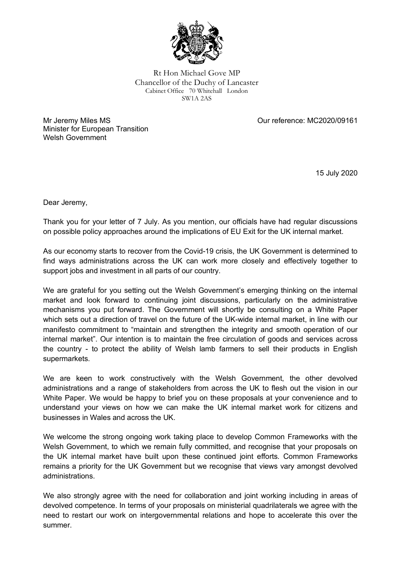

Rt Hon Michael Gove MP Chancellor of the Duchy of Lancaster Cabinet Office 70 Whitehall London SW1A 2AS

Mr Jeremy Miles MS Minister for European Transition Welsh Government

Our reference: MC2020/09161

15 July 2020

Dear Jeremy,

Thank you for your letter of 7 July. As you mention, our officials have had regular discussions on possible policy approaches around the implications of EU Exit for the UK internal market.

As our economy starts to recover from the Covid-19 crisis, the UK Government is determined to find ways administrations across the UK can work more closely and effectively together to support jobs and investment in all parts of our country.

We are grateful for you setting out the Welsh Government's emerging thinking on the internal market and look forward to continuing joint discussions, particularly on the administrative mechanisms you put forward. The Government will shortly be consulting on a White Paper which sets out a direction of travel on the future of the UK-wide internal market, in line with our manifesto commitment to "maintain and strengthen the integrity and smooth operation of our internal market". Our intention is to maintain the free circulation of goods and services across the country - to protect the ability of Welsh lamb farmers to sell their products in English supermarkets.

We are keen to work constructively with the Welsh Government, the other devolved administrations and a range of stakeholders from across the UK to flesh out the vision in our White Paper. We would be happy to brief you on these proposals at your convenience and to understand your views on how we can make the UK internal market work for citizens and businesses in Wales and across the UK.

We welcome the strong ongoing work taking place to develop Common Frameworks with the Welsh Government, to which we remain fully committed, and recognise that your proposals on the UK internal market have built upon these continued joint efforts. Common Frameworks remains a priority for the UK Government but we recognise that views vary amongst devolved administrations.

We also strongly agree with the need for collaboration and joint working including in areas of devolved competence. In terms of your proposals on ministerial quadrilaterals we agree with the need to restart our work on intergovernmental relations and hope to accelerate this over the summer.